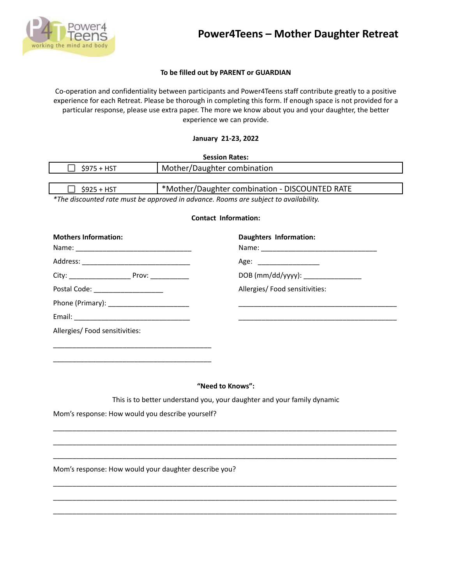

#### **To be filled out by PARENT or GUARDIAN**

Co-operation and confidentiality between participants and Power4Teens staff contribute greatly to a positive experience for each Retreat. Please be thorough in completing this form. If enough space is not provided for a particular response, please use extra paper. The more we know about you and your daughter, the better experience we can provide.

#### **January 21-23, 2022**

| <b>Session Rates:</b>                                                                |                                                |                                     |
|--------------------------------------------------------------------------------------|------------------------------------------------|-------------------------------------|
| $$975 + HST$                                                                         | Mother/Daughter combination                    |                                     |
|                                                                                      |                                                |                                     |
| $$925 + HST$                                                                         | *Mother/Daughter combination - DISCOUNTED RATE |                                     |
| *The discounted rate must be approved in advance. Rooms are subject to availability. |                                                |                                     |
| <b>Contact Information:</b>                                                          |                                                |                                     |
| <b>Mothers Information:</b>                                                          |                                                | <b>Daughters Information:</b>       |
|                                                                                      |                                                |                                     |
|                                                                                      |                                                | DOB (mm/dd/yyyy): _________________ |
| Postal Code: ____________________                                                    |                                                | Allergies/ Food sensitivities:      |
|                                                                                      |                                                |                                     |
|                                                                                      |                                                |                                     |
| Allergies/ Food sensitivities:                                                       |                                                |                                     |
|                                                                                      |                                                |                                     |
|                                                                                      |                                                |                                     |
|                                                                                      |                                                |                                     |
| "Need to Knows":                                                                     |                                                |                                     |
| This is to better understand you, your daughter and your family dynamic              |                                                |                                     |
| Mom's response: How would you describe yourself?                                     |                                                |                                     |

\_\_\_\_\_\_\_\_\_\_\_\_\_\_\_\_\_\_\_\_\_\_\_\_\_\_\_\_\_\_\_\_\_\_\_\_\_\_\_\_\_\_\_\_\_\_\_\_\_\_\_\_\_\_\_\_\_\_\_\_\_\_\_\_\_\_\_\_\_\_\_\_\_\_\_\_\_\_\_\_\_\_\_\_\_\_\_\_\_ \_\_\_\_\_\_\_\_\_\_\_\_\_\_\_\_\_\_\_\_\_\_\_\_\_\_\_\_\_\_\_\_\_\_\_\_\_\_\_\_\_\_\_\_\_\_\_\_\_\_\_\_\_\_\_\_\_\_\_\_\_\_\_\_\_\_\_\_\_\_\_\_\_\_\_\_\_\_\_\_\_\_\_\_\_\_\_\_\_ \_\_\_\_\_\_\_\_\_\_\_\_\_\_\_\_\_\_\_\_\_\_\_\_\_\_\_\_\_\_\_\_\_\_\_\_\_\_\_\_\_\_\_\_\_\_\_\_\_\_\_\_\_\_\_\_\_\_\_\_\_\_\_\_\_\_\_\_\_\_\_\_\_\_\_\_\_\_\_\_\_\_\_\_\_\_\_\_\_

\_\_\_\_\_\_\_\_\_\_\_\_\_\_\_\_\_\_\_\_\_\_\_\_\_\_\_\_\_\_\_\_\_\_\_\_\_\_\_\_\_\_\_\_\_\_\_\_\_\_\_\_\_\_\_\_\_\_\_\_\_\_\_\_\_\_\_\_\_\_\_\_\_\_\_\_\_\_\_\_\_\_\_\_\_\_\_\_\_ \_\_\_\_\_\_\_\_\_\_\_\_\_\_\_\_\_\_\_\_\_\_\_\_\_\_\_\_\_\_\_\_\_\_\_\_\_\_\_\_\_\_\_\_\_\_\_\_\_\_\_\_\_\_\_\_\_\_\_\_\_\_\_\_\_\_\_\_\_\_\_\_\_\_\_\_\_\_\_\_\_\_\_\_\_\_\_\_\_ \_\_\_\_\_\_\_\_\_\_\_\_\_\_\_\_\_\_\_\_\_\_\_\_\_\_\_\_\_\_\_\_\_\_\_\_\_\_\_\_\_\_\_\_\_\_\_\_\_\_\_\_\_\_\_\_\_\_\_\_\_\_\_\_\_\_\_\_\_\_\_\_\_\_\_\_\_\_\_\_\_\_\_\_\_\_\_\_\_

Mom's response: How would your daughter describe you?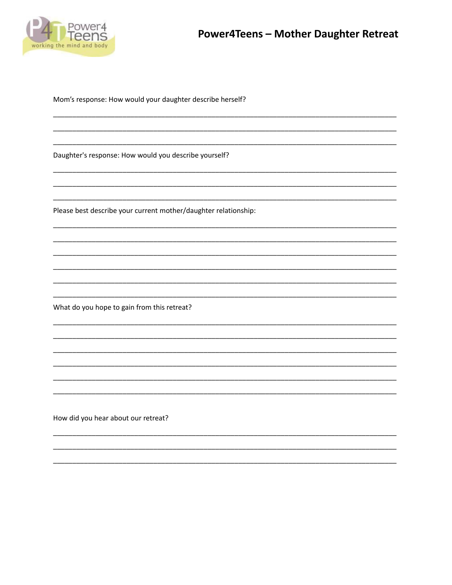

Mom's response: How would your daughter describe herself?

Daughter's response: How would you describe yourself?

Please best describe your current mother/daughter relationship:

What do you hope to gain from this retreat?

How did you hear about our retreat?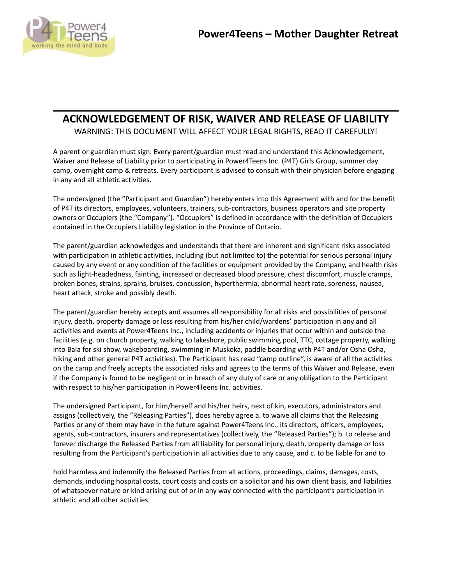

## **ACKNOWLEDGEMENT OF RISK, WAIVER AND RELEASE OF LIABILITY**

WARNING: THIS DOCUMENT WILL AFFECT YOUR LEGAL RIGHTS, READ IT CAREFULLY!

A parent or guardian must sign. Every parent/guardian must read and understand this Acknowledgement, Waiver and Release of Liability prior to participating in Power4Teens Inc. (P4T) Girls Group, summer day camp, overnight camp & retreats. Every participant is advised to consult with their physician before engaging in any and all athletic activities.

The undersigned (the "Participant and Guardian") hereby enters into this Agreement with and for the benefit of P4T its directors, employees, volunteers, trainers, sub-contractors, business operators and site property owners or Occupiers (the "Company"). "Occupiers" is defined in accordance with the definition of Occupiers contained in the Occupiers Liability legislation in the Province of Ontario.

The parent/guardian acknowledges and understands that there are inherent and significant risks associated with participation in athletic activities, including (but not limited to) the potential for serious personal injury caused by any event or any condition of the facilities or equipment provided by the Company, and health risks such as light-headedness, fainting, increased or decreased blood pressure, chest discomfort, muscle cramps, broken bones, strains, sprains, bruises, concussion, hyperthermia, abnormal heart rate, soreness, nausea, heart attack, stroke and possibly death.

The parent/guardian hereby accepts and assumes all responsibility for all risks and possibilities of personal injury, death, property damage or loss resulting from his/her child/wardens' participation in any and all activities and events at Power4Teens Inc., including accidents or injuries that occur within and outside the facilities (e.g. on church property, walking to lakeshore, public swimming pool, TTC, cottage property, walking into Bala for ski show, wakeboarding, swimming in Muskoka, paddle boarding with P4T and/or Osha Osha, hiking and other general P4T activities). The Participant has read "camp outline", is aware of all the activities on the camp and freely accepts the associated risks and agrees to the terms of this Waiver and Release, even if the Company is found to be negligent or in breach of any duty of care or any obligation to the Participant with respect to his/her participation in Power4Teens Inc. activities.

The undersigned Participant, for him/herself and his/her heirs, next of kin, executors, administrators and assigns (collectively, the "Releasing Parties"), does hereby agree a. to waive all claims that the Releasing Parties or any of them may have in the future against Power4Teens Inc., its directors, officers, employees, agents, sub-contractors, insurers and representatives (collectively, the "Released Parties"); b. to release and forever discharge the Released Parties from all liability for personal injury, death, property damage or loss resulting from the Participant's participation in all activities due to any cause, and c. to be liable for and to

hold harmless and indemnify the Released Parties from all actions, proceedings, claims, damages, costs, demands, including hospital costs, court costs and costs on a solicitor and his own client basis, and liabilities of whatsoever nature or kind arising out of or in any way connected with the participant's participation in athletic and all other activities.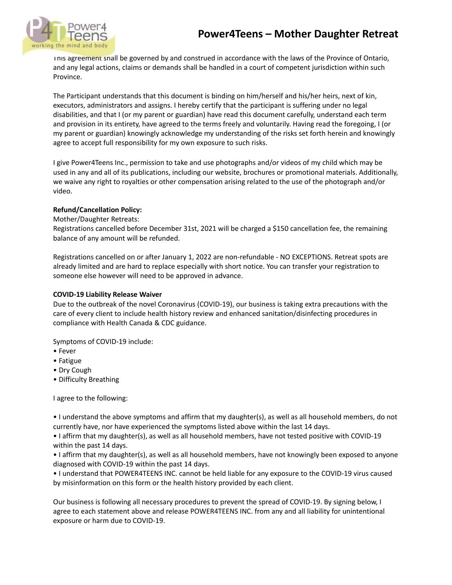# **Power4Teens – Mother Daughter Retreat**



Inis agreement shall be governed by and construed in accordance with the laws of the Province of Ontario, and any legal actions, claims or demands shall be handled in a court of competent jurisdiction within such Province.

The Participant understands that this document is binding on him/herself and his/her heirs, next of kin, executors, administrators and assigns. I hereby certify that the participant is suffering under no legal disabilities, and that I (or my parent or guardian) have read this document carefully, understand each term and provision in its entirety, have agreed to the terms freely and voluntarily. Having read the foregoing, I (or my parent or guardian) knowingly acknowledge my understanding of the risks set forth herein and knowingly agree to accept full responsibility for my own exposure to such risks.

I give Power4Teens Inc., permission to take and use photographs and/or videos of my child which may be used in any and all of its publications, including our website, brochures or promotional materials. Additionally, we waive any right to royalties or other compensation arising related to the use of the photograph and/or video.

#### **Refund/Cancellation Policy:**

Mother/Daughter Retreats:

Registrations cancelled before December 31st, 2021 will be charged a \$150 cancellation fee, the remaining balance of any amount will be refunded.

Registrations cancelled on or after January 1, 2022 are non-refundable - NO EXCEPTIONS. Retreat spots are already limited and are hard to replace especially with short notice. You can transfer your registration to someone else however will need to be approved in advance.

### **COVID-19 Liability Release Waiver**

Due to the outbreak of the novel Coronavirus (COVID-19), our business is taking extra precautions with the care of every client to include health history review and enhanced sanitation/disinfecting procedures in compliance with Health Canada & CDC guidance.

Symptoms of COVID-19 include:

- Fever
- Fatigue
- Dry Cough
- Difficulty Breathing

I agree to the following:

• I understand the above symptoms and affirm that my daughter(s), as well as all household members, do not currently have, nor have experienced the symptoms listed above within the last 14 days.

• I affirm that my daughter(s), as well as all household members, have not tested positive with COVID-19 within the past 14 days.

• I affirm that my daughter(s), as well as all household members, have not knowingly been exposed to anyone diagnosed with COVID-19 within the past 14 days.

• I understand that POWER4TEENS INC. cannot be held liable for any exposure to the COVID-19 virus caused by misinformation on this form or the health history provided by each client.

Our business is following all necessary procedures to prevent the spread of COVID-19. By signing below, I agree to each statement above and release POWER4TEENS INC. from any and all liability for unintentional exposure or harm due to COVID-19.